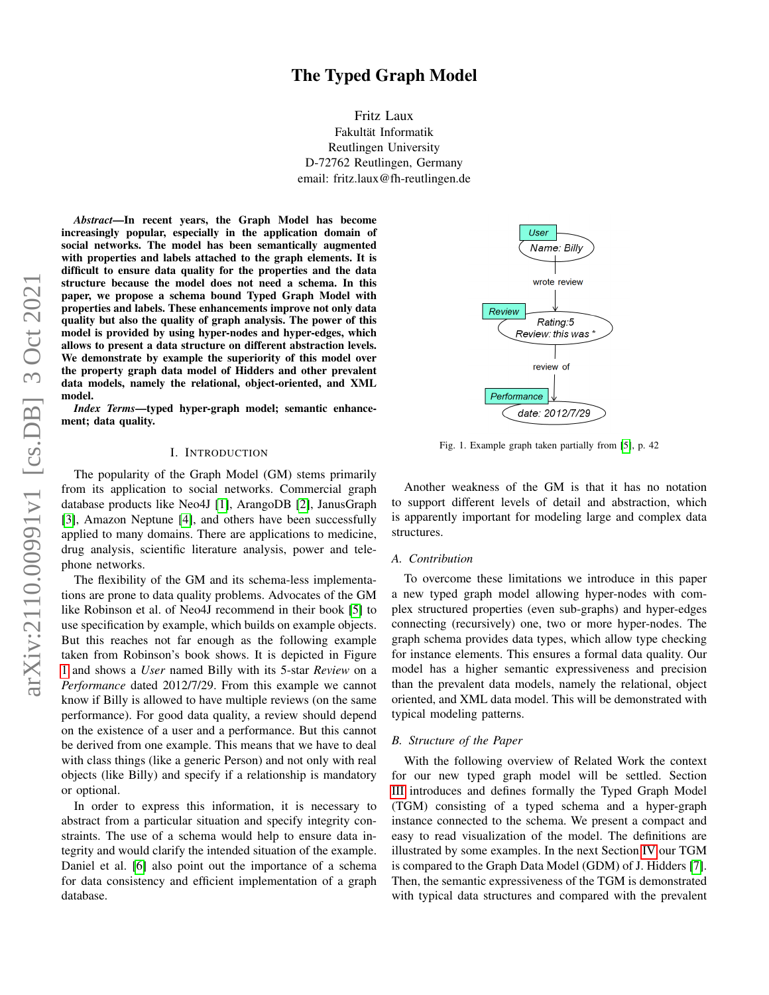# The Typed Graph Model

Fritz Laux Fakultät Informatik Reutlingen University D-72762 Reutlingen, Germany email: fritz.laux@fh-reutlingen.de

*Abstract*—In recent years, the Graph Model has become increasingly popular, especially in the application domain of social networks. The model has been semantically augmented with properties and labels attached to the graph elements. It is difficult to ensure data quality for the properties and the data structure because the model does not need a schema. In this paper, we propose a schema bound Typed Graph Model with properties and labels. These enhancements improve not only data quality but also the quality of graph analysis. The power of this model is provided by using hyper-nodes and hyper-edges, which allows to present a data structure on different abstraction levels. We demonstrate by example the superiority of this model over the property graph data model of Hidders and other prevalent data models, namely the relational, object-oriented, and XML model.

*Index Terms*—typed hyper-graph model; semantic enhancement; data quality.

## I. INTRODUCTION

The popularity of the Graph Model (GM) stems primarily from its application to social networks. Commercial graph database products like Neo4J [\[1\]](#page-6-0), ArangoDB [\[2\]](#page-6-1), JanusGraph [\[3\]](#page-6-2), Amazon Neptune [\[4\]](#page-6-3), and others have been successfully applied to many domains. There are applications to medicine, drug analysis, scientific literature analysis, power and telephone networks.

The flexibility of the GM and its schema-less implementations are prone to data quality problems. Advocates of the GM like Robinson et al. of Neo4J recommend in their book [\[5\]](#page-6-4) to use specification by example, which builds on example objects. But this reaches not far enough as the following example taken from Robinson's book shows. It is depicted in Figure [1](#page-0-0) and shows a *User* named Billy with its 5-star *Review* on a *Performance* dated 2012/7/29. From this example we cannot know if Billy is allowed to have multiple reviews (on the same performance). For good data quality, a review should depend on the existence of a user and a performance. But this cannot be derived from one example. This means that we have to deal with class things (like a generic Person) and not only with real objects (like Billy) and specify if a relationship is mandatory or optional.

In order to express this information, it is necessary to abstract from a particular situation and specify integrity constraints. The use of a schema would help to ensure data integrity and would clarify the intended situation of the example. Daniel et al. [\[6\]](#page-6-5) also point out the importance of a schema for data consistency and efficient implementation of a graph database.

<span id="page-0-0"></span>

Fig. 1. Example graph taken partially from [\[5\]](#page-6-4), p. 42

Another weakness of the GM is that it has no notation to support different levels of detail and abstraction, which is apparently important for modeling large and complex data structures.

#### *A. Contribution*

To overcome these limitations we introduce in this paper a new typed graph model allowing hyper-nodes with complex structured properties (even sub-graphs) and hyper-edges connecting (recursively) one, two or more hyper-nodes. The graph schema provides data types, which allow type checking for instance elements. This ensures a formal data quality. Our model has a higher semantic expressiveness and precision than the prevalent data models, namely the relational, object oriented, and XML data model. This will be demonstrated with typical modeling patterns.

## *B. Structure of the Paper*

With the following overview of Related Work the context for our new typed graph model will be settled. Section [III](#page-2-0) introduces and defines formally the Typed Graph Model (TGM) consisting of a typed schema and a hyper-graph instance connected to the schema. We present a compact and easy to read visualization of the model. The definitions are illustrated by some examples. In the next Section [IV](#page-3-0) our TGM is compared to the Graph Data Model (GDM) of J. Hidders [\[7\]](#page-6-6). Then, the semantic expressiveness of the TGM is demonstrated with typical data structures and compared with the prevalent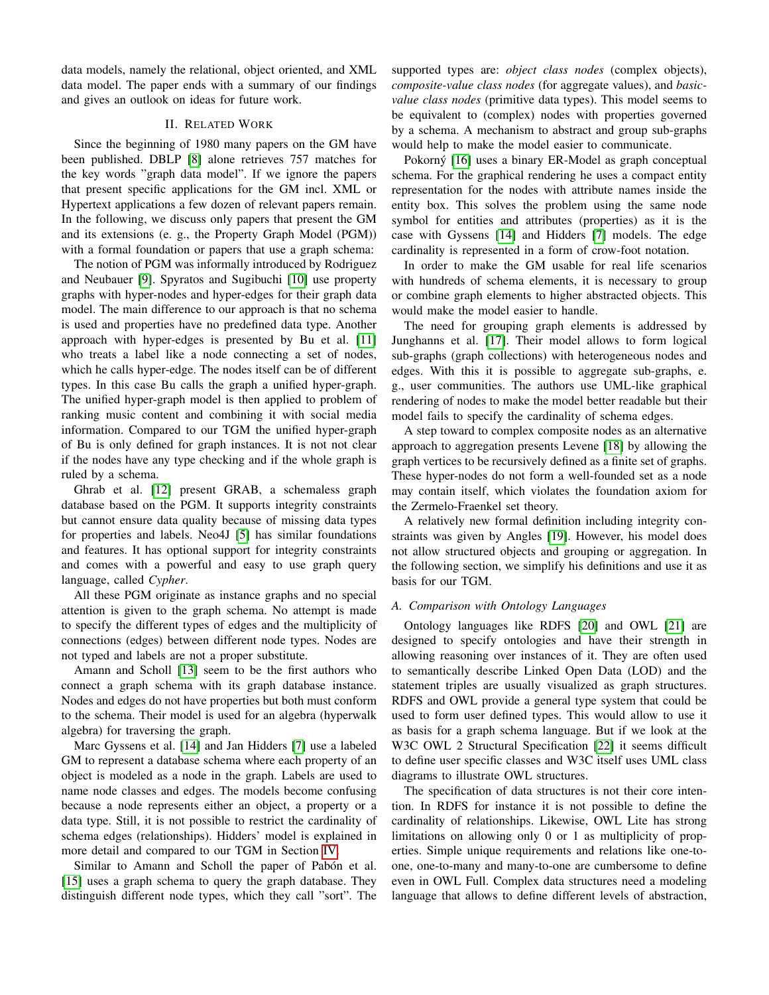data models, namely the relational, object oriented, and XML data model. The paper ends with a summary of our findings and gives an outlook on ideas for future work.

# II. RELATED WORK

Since the beginning of 1980 many papers on the GM have been published. DBLP [\[8\]](#page-6-7) alone retrieves 757 matches for the key words "graph data model". If we ignore the papers that present specific applications for the GM incl. XML or Hypertext applications a few dozen of relevant papers remain. In the following, we discuss only papers that present the GM and its extensions (e. g., the Property Graph Model (PGM)) with a formal foundation or papers that use a graph schema:

The notion of PGM was informally introduced by Rodriguez and Neubauer [\[9\]](#page-6-8). Spyratos and Sugibuchi [\[10\]](#page-6-9) use property graphs with hyper-nodes and hyper-edges for their graph data model. The main difference to our approach is that no schema is used and properties have no predefined data type. Another approach with hyper-edges is presented by Bu et al. [\[11\]](#page-6-10) who treats a label like a node connecting a set of nodes, which he calls hyper-edge. The nodes itself can be of different types. In this case Bu calls the graph a unified hyper-graph. The unified hyper-graph model is then applied to problem of ranking music content and combining it with social media information. Compared to our TGM the unified hyper-graph of Bu is only defined for graph instances. It is not not clear if the nodes have any type checking and if the whole graph is ruled by a schema.

Ghrab et al. [\[12\]](#page-6-11) present GRAB, a schemaless graph database based on the PGM. It supports integrity constraints but cannot ensure data quality because of missing data types for properties and labels. Neo4J [\[5\]](#page-6-4) has similar foundations and features. It has optional support for integrity constraints and comes with a powerful and easy to use graph query language, called *Cypher*.

All these PGM originate as instance graphs and no special attention is given to the graph schema. No attempt is made to specify the different types of edges and the multiplicity of connections (edges) between different node types. Nodes are not typed and labels are not a proper substitute.

Amann and Scholl [\[13\]](#page-6-12) seem to be the first authors who connect a graph schema with its graph database instance. Nodes and edges do not have properties but both must conform to the schema. Their model is used for an algebra (hyperwalk algebra) for traversing the graph.

Marc Gyssens et al. [\[14\]](#page-6-13) and Jan Hidders [\[7\]](#page-6-6) use a labeled GM to represent a database schema where each property of an object is modeled as a node in the graph. Labels are used to name node classes and edges. The models become confusing because a node represents either an object, a property or a data type. Still, it is not possible to restrict the cardinality of schema edges (relationships). Hidders' model is explained in more detail and compared to our TGM in Section [IV.](#page-3-0)

Similar to Amann and Scholl the paper of Pabón et al. [\[15\]](#page-6-14) uses a graph schema to query the graph database. They distinguish different node types, which they call "sort". The supported types are: *object class nodes* (complex objects), *composite-value class nodes* (for aggregate values), and *basicvalue class nodes* (primitive data types). This model seems to be equivalent to (complex) nodes with properties governed by a schema. A mechanism to abstract and group sub-graphs would help to make the model easier to communicate.

Pokorný [\[16\]](#page-6-15) uses a binary ER-Model as graph conceptual schema. For the graphical rendering he uses a compact entity representation for the nodes with attribute names inside the entity box. This solves the problem using the same node symbol for entities and attributes (properties) as it is the case with Gyssens [\[14\]](#page-6-13) and Hidders [\[7\]](#page-6-6) models. The edge cardinality is represented in a form of crow-foot notation.

In order to make the GM usable for real life scenarios with hundreds of schema elements, it is necessary to group or combine graph elements to higher abstracted objects. This would make the model easier to handle.

The need for grouping graph elements is addressed by Junghanns et al. [\[17\]](#page-6-16). Their model allows to form logical sub-graphs (graph collections) with heterogeneous nodes and edges. With this it is possible to aggregate sub-graphs, e. g., user communities. The authors use UML-like graphical rendering of nodes to make the model better readable but their model fails to specify the cardinality of schema edges.

A step toward to complex composite nodes as an alternative approach to aggregation presents Levene [\[18\]](#page-6-17) by allowing the graph vertices to be recursively defined as a finite set of graphs. These hyper-nodes do not form a well-founded set as a node may contain itself, which violates the foundation axiom for the Zermelo-Fraenkel set theory.

A relatively new formal definition including integrity constraints was given by Angles [\[19\]](#page-6-18). However, his model does not allow structured objects and grouping or aggregation. In the following section, we simplify his definitions and use it as basis for our TGM.

# *A. Comparison with Ontology Languages*

Ontology languages like RDFS [\[20\]](#page-6-19) and OWL [\[21\]](#page-6-20) are designed to specify ontologies and have their strength in allowing reasoning over instances of it. They are often used to semantically describe Linked Open Data (LOD) and the statement triples are usually visualized as graph structures. RDFS and OWL provide a general type system that could be used to form user defined types. This would allow to use it as basis for a graph schema language. But if we look at the W3C OWL 2 Structural Specification [\[22\]](#page-6-21) it seems difficult to define user specific classes and W3C itself uses UML class diagrams to illustrate OWL structures.

The specification of data structures is not their core intention. In RDFS for instance it is not possible to define the cardinality of relationships. Likewise, OWL Lite has strong limitations on allowing only 0 or 1 as multiplicity of properties. Simple unique requirements and relations like one-toone, one-to-many and many-to-one are cumbersome to define even in OWL Full. Complex data structures need a modeling language that allows to define different levels of abstraction,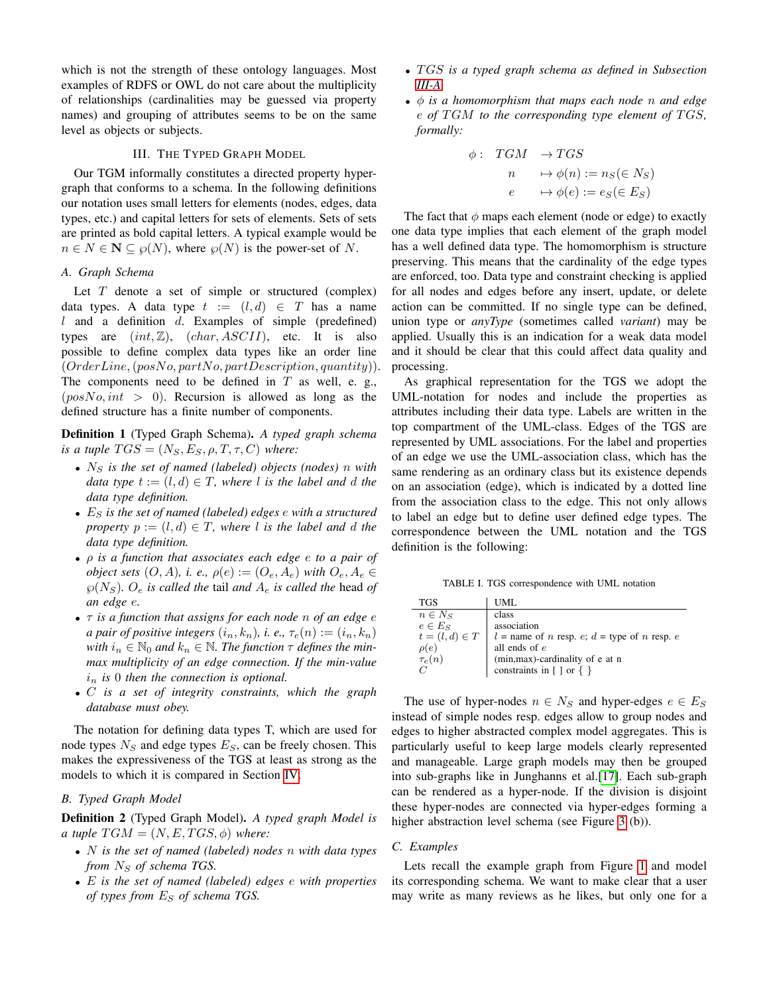which is not the strength of these ontology languages. Most examples of RDFS or OWL do not care about the multiplicity of relationships (cardinalities may be guessed via property names) and grouping of attributes seems to be on the same level as objects or subjects.

# III. THE TYPED GRAPH MODEL

<span id="page-2-0"></span>Our TGM informally constitutes a directed property hypergraph that conforms to a schema. In the following definitions our notation uses small letters for elements (nodes, edges, data types, etc.) and capital letters for sets of elements. Sets of sets are printed as bold capital letters. A typical example would be  $n \in N \subseteq \mathcal{P}(N)$ , where  $\mathcal{P}(N)$  is the power-set of N.

# <span id="page-2-1"></span>*A. Graph Schema*

Let  $T$  denote a set of simple or structured (complex) data types. A data type  $t := (l, d) \in T$  has a name l and a definition  $d$ . Examples of simple (predefined) types are  $(int, \mathbb{Z})$ ,  $(char, ASCII)$ , etc. It is also possible to define complex data types like an order line  $(OrderLine, (posNo, partNo, partDescription, quantity)).$ The components need to be defined in  $T$  as well, e. g.,  $(posNo, int > 0)$ . Recursion is allowed as long as the defined structure has a finite number of components.

Definition 1 (Typed Graph Schema). *A typed graph schema is a tuple*  $TGS = (N_S, E_S, \rho, T, \tau, C)$  *where:* 

- $N<sub>S</sub>$  *is the set of named (labeled) objects (nodes) n with data type*  $t := (l, d) \in T$ *, where l is the label and d the data type definition.*
- E<sup>S</sup> *is the set of named (labeled) edges* e *with a structured property*  $p := (l, d) \in T$ *, where* l *is the label and* d *the data type definition.*
- ρ *is a function that associates each edge* e *to a pair of object sets*  $(O, A)$ *, i. e.,*  $\rho(e) := (O_e, A_e)$  *with*  $O_e, A_e \in$  $\wp(N_S)$ *.*  $O_e$  *is called the tail and*  $A_e$  *is called the head of an edge* e*.*
- τ *is a function that assigns for each node* n *of an edge* e *a pair of positive integers*  $(i_n, k_n)$ , *i. e.*,  $\tau_e(n) := (i_n, k_n)$ *with*  $i_n \in \mathbb{N}_0$  *and*  $k_n \in \mathbb{N}$ . *The function*  $\tau$  *defines the minmax multiplicity of an edge connection. If the min-value*  $i_n$  *is* 0 *then the connection is optional.*
- C *is a set of integrity constraints, which the graph database must obey.*

The notation for defining data types T, which are used for node types  $N<sub>S</sub>$  and edge types  $E<sub>S</sub>$ , can be freely chosen. This makes the expressiveness of the TGS at least as strong as the models to which it is compared in Section [IV.](#page-3-0)

## *B. Typed Graph Model*

Definition 2 (Typed Graph Model). *A typed graph Model is a tuple*  $TGM = (N, E, TGS, \phi)$  *where:* 

- N *is the set of named (labeled) nodes* n *with data types from*  $N_S$  *of schema TGS.*
- E *is the set of named (labeled) edges* e *with properties of types from*  $E<sub>S</sub>$  *of schema TGS.*
- T GS *is a typed graph schema as defined in Subsection [III-A.](#page-2-1)*
- φ *is a homomorphism that maps each node* n *and edge* e *of* T GM *to the corresponding type element of* T GS*, formally:*

$$
\begin{array}{rcl}\n\phi: & TGM & \to TGS \\
n & \mapsto \phi(n) := n_S(\in N_S) \\
e & \mapsto \phi(e) := e_S(\in E_S)\n\end{array}
$$

The fact that  $\phi$  maps each element (node or edge) to exactly one data type implies that each element of the graph model has a well defined data type. The homomorphism is structure preserving. This means that the cardinality of the edge types are enforced, too. Data type and constraint checking is applied for all nodes and edges before any insert, update, or delete action can be committed. If no single type can be defined, union type or *anyType* (sometimes called *variant*) may be applied. Usually this is an indication for a weak data model and it should be clear that this could affect data quality and processing.

As graphical representation for the TGS we adopt the UML-notation for nodes and include the properties as attributes including their data type. Labels are written in the top compartment of the UML-class. Edges of the TGS are represented by UML associations. For the label and properties of an edge we use the UML-association class, which has the same rendering as an ordinary class but its existence depends on an association (edge), which is indicated by a dotted line from the association class to the edge. This not only allows to label an edge but to define user defined edge types. The correspondence between the UML notation and the TGS definition is the following:

TABLE I. TGS correspondence with UML notation

| <b>TGS</b>     | UML                                                                           |
|----------------|-------------------------------------------------------------------------------|
| $n \in N_S$    | class                                                                         |
| $e \in E_S$    | association                                                                   |
| $t=(l,d)\in T$ | $l =$ name of <i>n</i> resp. <i>e</i> ; $d =$ type of <i>n</i> resp. <i>e</i> |
| $\rho(e)$      | all ends of $e$                                                               |
| $\tau_e(n)$    | (min,max)-cardinality of e at n                                               |
|                | constraints in $[$ ] or $\{$ $\}$                                             |

The use of hyper-nodes  $n \in N_S$  and hyper-edges  $e \in E_S$ instead of simple nodes resp. edges allow to group nodes and edges to higher abstracted complex model aggregates. This is particularly useful to keep large models clearly represented and manageable. Large graph models may then be grouped into sub-graphs like in Junghanns et al.[\[17\]](#page-6-16). Each sub-graph can be rendered as a hyper-node. If the division is disjoint these hyper-nodes are connected via hyper-edges forming a higher abstraction level schema (see Figure [3](#page-4-0) (b)).

## *C. Examples*

Lets recall the example graph from Figure [1](#page-0-0) and model its corresponding schema. We want to make clear that a user may write as many reviews as he likes, but only one for a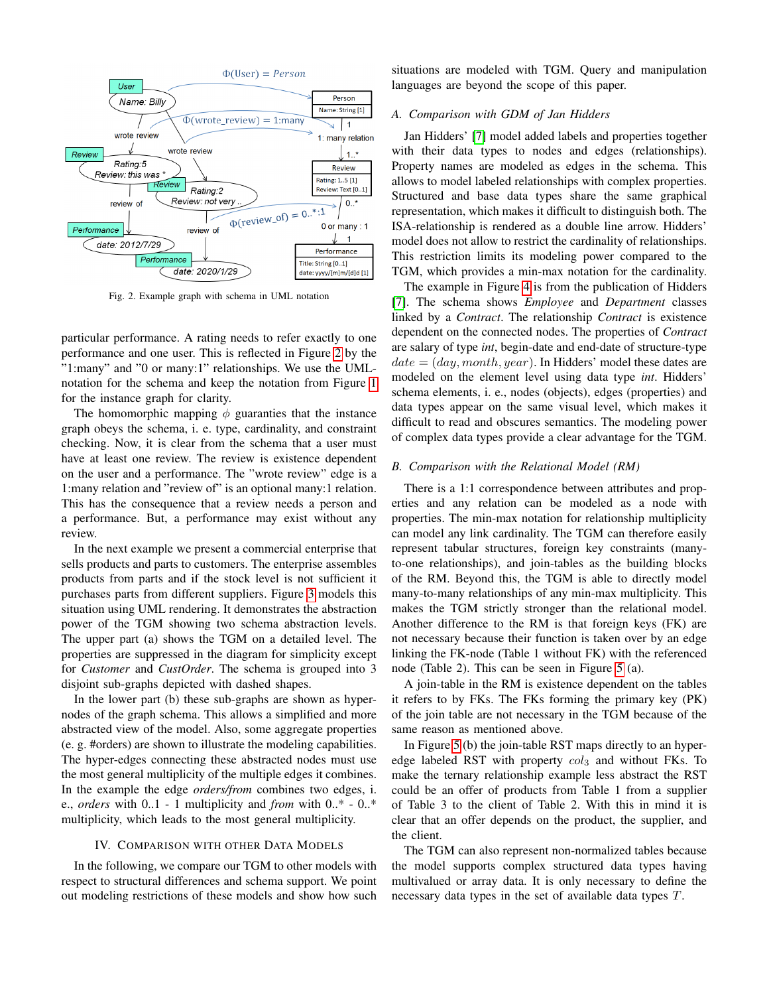<span id="page-3-1"></span>

Fig. 2. Example graph with schema in UML notation

particular performance. A rating needs to refer exactly to one performance and one user. This is reflected in Figure [2](#page-3-1) by the "1:many" and "0 or many:1" relationships. We use the UMLnotation for the schema and keep the notation from Figure [1](#page-0-0) for the instance graph for clarity.

The homomorphic mapping  $\phi$  guaranties that the instance graph obeys the schema, i. e. type, cardinality, and constraint checking. Now, it is clear from the schema that a user must have at least one review. The review is existence dependent on the user and a performance. The "wrote review" edge is a 1:many relation and "review of" is an optional many:1 relation. This has the consequence that a review needs a person and a performance. But, a performance may exist without any review.

In the next example we present a commercial enterprise that sells products and parts to customers. The enterprise assembles products from parts and if the stock level is not sufficient it purchases parts from different suppliers. Figure [3](#page-4-0) models this situation using UML rendering. It demonstrates the abstraction power of the TGM showing two schema abstraction levels. The upper part (a) shows the TGM on a detailed level. The properties are suppressed in the diagram for simplicity except for *Customer* and *CustOrder*. The schema is grouped into 3 disjoint sub-graphs depicted with dashed shapes.

In the lower part (b) these sub-graphs are shown as hypernodes of the graph schema. This allows a simplified and more abstracted view of the model. Also, some aggregate properties (e. g. #orders) are shown to illustrate the modeling capabilities. The hyper-edges connecting these abstracted nodes must use the most general multiplicity of the multiple edges it combines. In the example the edge *orders/from* combines two edges, i. e., *orders* with 0..1 - 1 multiplicity and *from* with 0..\* - 0..\* multiplicity, which leads to the most general multiplicity.

#### IV. COMPARISON WITH OTHER DATA MODELS

<span id="page-3-0"></span>In the following, we compare our TGM to other models with respect to structural differences and schema support. We point out modeling restrictions of these models and show how such situations are modeled with TGM. Query and manipulation languages are beyond the scope of this paper.

## *A. Comparison with GDM of Jan Hidders*

Jan Hidders' [\[7\]](#page-6-6) model added labels and properties together with their data types to nodes and edges (relationships). Property names are modeled as edges in the schema. This allows to model labeled relationships with complex properties. Structured and base data types share the same graphical representation, which makes it difficult to distinguish both. The ISA-relationship is rendered as a double line arrow. Hidders' model does not allow to restrict the cardinality of relationships. This restriction limits its modeling power compared to the TGM, which provides a min-max notation for the cardinality.

The example in Figure [4](#page-4-1) is from the publication of Hidders [\[7\]](#page-6-6). The schema shows *Employee* and *Department* classes linked by a *Contract*. The relationship *Contract* is existence dependent on the connected nodes. The properties of *Contract* are salary of type *int*, begin-date and end-date of structure-type  $date = (day, month, year)$ . In Hidders' model these dates are modeled on the element level using data type *int*. Hidders' schema elements, i. e., nodes (objects), edges (properties) and data types appear on the same visual level, which makes it difficult to read and obscures semantics. The modeling power of complex data types provide a clear advantage for the TGM.

#### *B. Comparison with the Relational Model (RM)*

There is a 1:1 correspondence between attributes and properties and any relation can be modeled as a node with properties. The min-max notation for relationship multiplicity can model any link cardinality. The TGM can therefore easily represent tabular structures, foreign key constraints (manyto-one relationships), and join-tables as the building blocks of the RM. Beyond this, the TGM is able to directly model many-to-many relationships of any min-max multiplicity. This makes the TGM strictly stronger than the relational model. Another difference to the RM is that foreign keys (FK) are not necessary because their function is taken over by an edge linking the FK-node (Table 1 without FK) with the referenced node (Table 2). This can be seen in Figure [5](#page-4-2) (a).

A join-table in the RM is existence dependent on the tables it refers to by FKs. The FKs forming the primary key (PK) of the join table are not necessary in the TGM because of the same reason as mentioned above.

In Figure [5](#page-4-2) (b) the join-table RST maps directly to an hyperedge labeled RST with property  $col_3$  and without FKs. To make the ternary relationship example less abstract the RST could be an offer of products from Table 1 from a supplier of Table 3 to the client of Table 2. With this in mind it is clear that an offer depends on the product, the supplier, and the client.

The TGM can also represent non-normalized tables because the model supports complex structured data types having multivalued or array data. It is only necessary to define the necessary data types in the set of available data types T.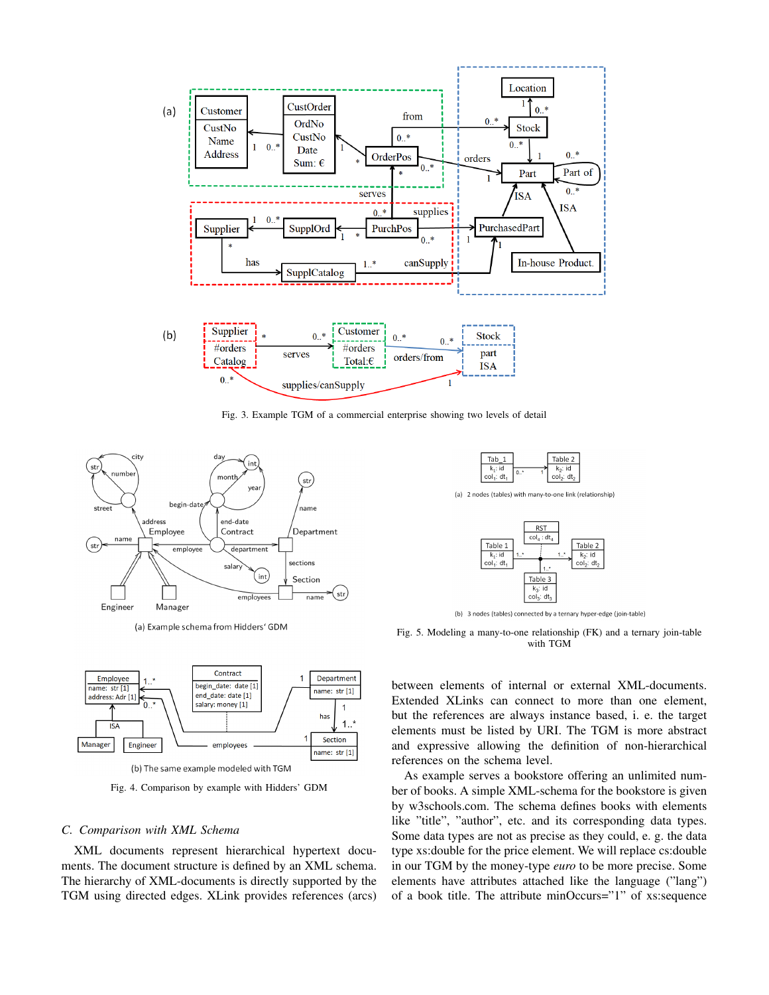<span id="page-4-0"></span>

Fig. 3. Example TGM of a commercial enterprise showing two levels of detail

<span id="page-4-1"></span>

(a) Example schema from Hidders' GDM



Fig. 4. Comparison by example with Hidders' GDM

## *C. Comparison with XML Schema*

XML documents represent hierarchical hypertext documents. The document structure is defined by an XML schema. The hierarchy of XML-documents is directly supported by the TGM using directed edges. XLink provides references (arcs)

<span id="page-4-2"></span>

(b) 3 nodes (tables) connected by a ternary hyper-edge (join-table)

Fig. 5. Modeling a many-to-one relationship (FK) and a ternary join-table with TGM

between elements of internal or external XML-documents. Extended XLinks can connect to more than one element, but the references are always instance based, i. e. the target elements must be listed by URI. The TGM is more abstract and expressive allowing the definition of non-hierarchical references on the schema level.

As example serves a bookstore offering an unlimited number of books. A simple XML-schema for the bookstore is given by w3schools.com. The schema defines books with elements like "title", "author", etc. and its corresponding data types. Some data types are not as precise as they could, e. g. the data type xs:double for the price element. We will replace cs:double in our TGM by the money-type *euro* to be more precise. Some elements have attributes attached like the language ("lang") of a book title. The attribute minOccurs="1" of xs:sequence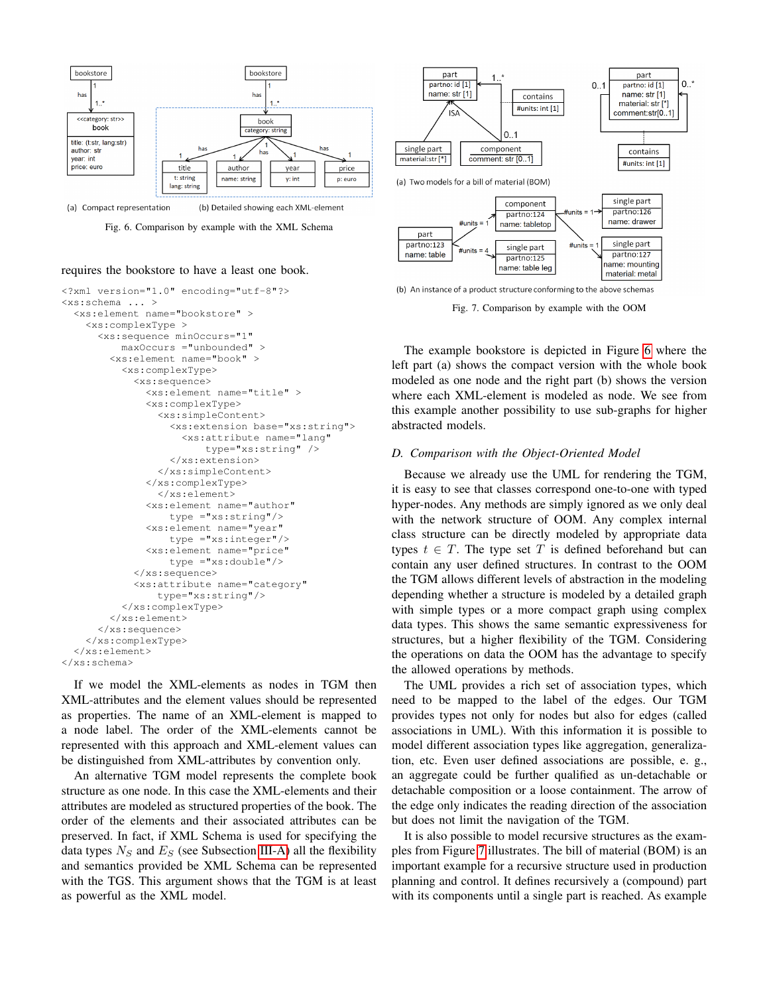<span id="page-5-0"></span>

(a) Compact representation (b) Detailed showing each XML-element

Fig. 6. Comparison by example with the XML Schema

#### requires the bookstore to have a least one book.

```
<?xml version="1.0" encoding="utf-8"?>
<xs:schema ... >
  <xs:element name="bookstore" >
    <xs:complexType >
      <xs:sequence minOccurs="1"
          maxOccurs ="unbounded" >
        <xs:element name="book" >
          <xs:complexType>
            <xs:sequence>
              <xs:element name="title" >
              <xs:complexType>
                <xs:simpleContent>
                  <xs:extension base="xs:string">
                    <xs:attribute name="lang"
                        type="xs:string" />
                  </xs:extension>
                </xs:simpleContent>
              </xs:complexType>
                </xs:element>
              <xs:element name="author"
                  type ="xs:string"/>
              <xs:element name="year"
                  type ="xs:integer"/>
              <xs:element name="price"
                  type ="xs:double"/>
            </xs:sequence>
            <xs:attribute name="category"
                type="xs:string"/>
          </xs:complexType>
        </xs:element>
      </xs:sequence>
    </xs:complexType>
  </xs:element>
</xs:schema>
```
If we model the XML-elements as nodes in TGM then XML-attributes and the element values should be represented as properties. The name of an XML-element is mapped to a node label. The order of the XML-elements cannot be represented with this approach and XML-element values can be distinguished from XML-attributes by convention only.

An alternative TGM model represents the complete book structure as one node. In this case the XML-elements and their attributes are modeled as structured properties of the book. The order of the elements and their associated attributes can be preserved. In fact, if XML Schema is used for specifying the data types  $N<sub>S</sub>$  and  $E<sub>S</sub>$  (see Subsection [III-A\)](#page-2-1) all the flexibility and semantics provided be XML Schema can be represented with the TGS. This argument shows that the TGM is at least as powerful as the XML model.

<span id="page-5-1"></span>

Fig. 7. Comparison by example with the OOM

The example bookstore is depicted in Figure [6](#page-5-0) where the left part (a) shows the compact version with the whole book modeled as one node and the right part (b) shows the version where each XML-element is modeled as node. We see from this example another possibility to use sub-graphs for higher abstracted models.

## *D. Comparison with the Object-Oriented Model*

Because we already use the UML for rendering the TGM, it is easy to see that classes correspond one-to-one with typed hyper-nodes. Any methods are simply ignored as we only deal with the network structure of OOM. Any complex internal class structure can be directly modeled by appropriate data types  $t \in T$ . The type set T is defined beforehand but can contain any user defined structures. In contrast to the OOM the TGM allows different levels of abstraction in the modeling depending whether a structure is modeled by a detailed graph with simple types or a more compact graph using complex data types. This shows the same semantic expressiveness for structures, but a higher flexibility of the TGM. Considering the operations on data the OOM has the advantage to specify the allowed operations by methods.

The UML provides a rich set of association types, which need to be mapped to the label of the edges. Our TGM provides types not only for nodes but also for edges (called associations in UML). With this information it is possible to model different association types like aggregation, generalization, etc. Even user defined associations are possible, e. g., an aggregate could be further qualified as un-detachable or detachable composition or a loose containment. The arrow of the edge only indicates the reading direction of the association but does not limit the navigation of the TGM.

It is also possible to model recursive structures as the examples from Figure [7](#page-5-1) illustrates. The bill of material (BOM) is an important example for a recursive structure used in production planning and control. It defines recursively a (compound) part with its components until a single part is reached. As example